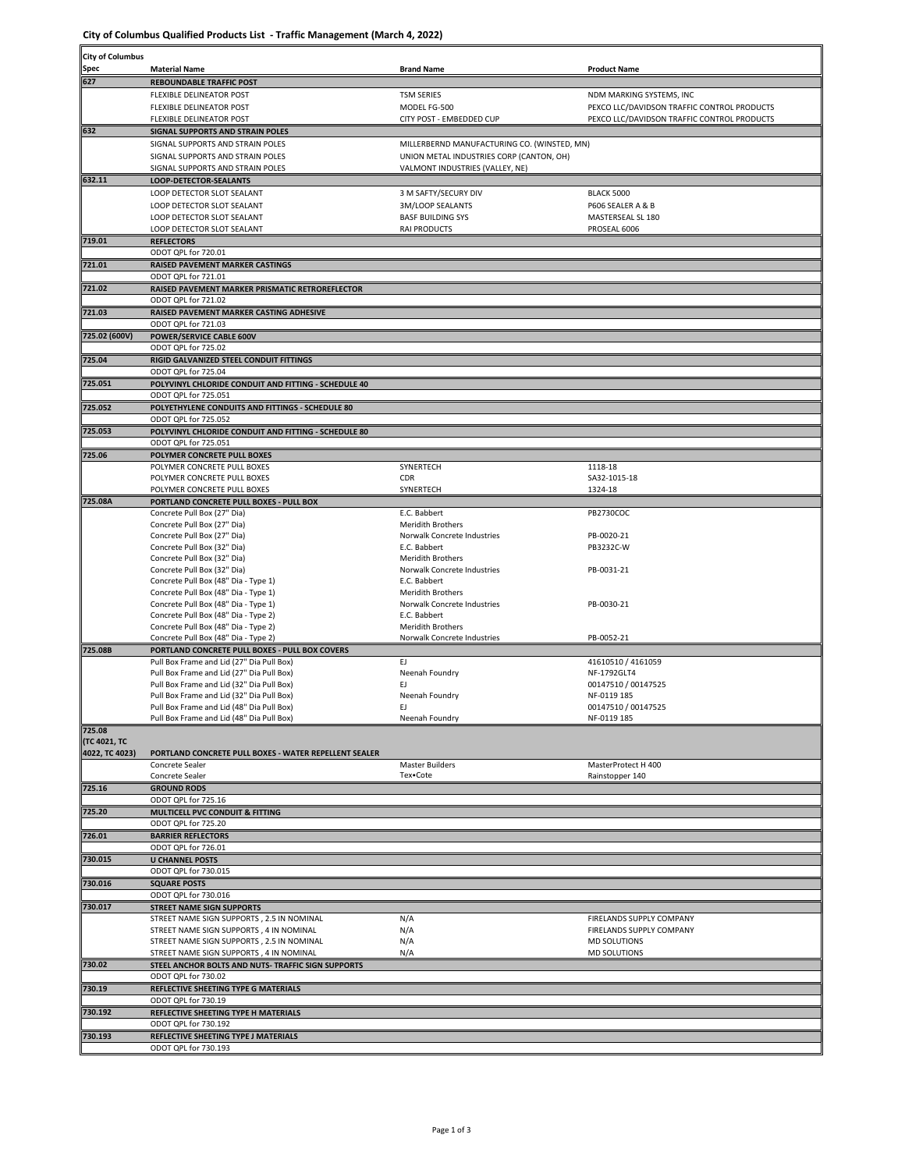**City of Columbus Qualified Products List - Traffic Management (March 4, 2022)**

| <b>City of Columbus</b>               |                                                                                               |                                                         |                                             |  |  |
|---------------------------------------|-----------------------------------------------------------------------------------------------|---------------------------------------------------------|---------------------------------------------|--|--|
| Spec                                  | <b>Material Name</b>                                                                          | <b>Brand Name</b>                                       | <b>Product Name</b>                         |  |  |
| 627                                   | <b>REBOUNDABLE TRAFFIC POST</b>                                                               |                                                         |                                             |  |  |
|                                       | <b>FLEXIBLE DELINEATOR POST</b>                                                               | <b>TSM SERIES</b>                                       | NDM MARKING SYSTEMS, INC                    |  |  |
|                                       | FLEXIBLE DELINEATOR POST                                                                      | MODEL FG-500                                            | PEXCO LLC/DAVIDSON TRAFFIC CONTROL PRODUCTS |  |  |
| 632                                   | FLEXIBLE DELINEATOR POST<br>SIGNAL SUPPORTS AND STRAIN POLES                                  | CITY POST - EMBEDDED CUP                                | PEXCO LLC/DAVIDSON TRAFFIC CONTROL PRODUCTS |  |  |
|                                       | SIGNAL SUPPORTS AND STRAIN POLES                                                              | MILLERBERND MANUFACTURING CO. (WINSTED, MN)             |                                             |  |  |
|                                       | SIGNAL SUPPORTS AND STRAIN POLES                                                              | UNION METAL INDUSTRIES CORP (CANTON, OH)                |                                             |  |  |
|                                       | SIGNAL SUPPORTS AND STRAIN POLES                                                              | VALMONT INDUSTRIES (VALLEY, NE)                         |                                             |  |  |
| 632.11                                | LOOP-DETECTOR-SEALANTS                                                                        |                                                         |                                             |  |  |
|                                       | LOOP DETECTOR SLOT SEALANT<br>LOOP DETECTOR SLOT SEALANT                                      | 3 M SAFTY/SECURY DIV<br>3M/LOOP SEALANTS                | <b>BLACK 5000</b><br>P606 SEALER A & B      |  |  |
|                                       | LOOP DETECTOR SLOT SEALANT                                                                    | <b>BASF BUILDING SYS</b>                                | MASTERSEAL SL 180                           |  |  |
|                                       | LOOP DETECTOR SLOT SEALANT                                                                    | <b>RAI PRODUCTS</b>                                     | PROSEAL 6006                                |  |  |
| 719.01                                | <b>REFLECTORS</b>                                                                             |                                                         |                                             |  |  |
|                                       | ODOT QPL for 720.01                                                                           |                                                         |                                             |  |  |
| 721.01                                | <b>RAISED PAVEMENT MARKER CASTINGS</b><br>ODOT QPL for 721.01                                 |                                                         |                                             |  |  |
| 721.02                                | RAISED PAVEMENT MARKER PRISMATIC RETROREFLECTOR                                               |                                                         |                                             |  |  |
|                                       | ODOT QPL for 721.02                                                                           |                                                         |                                             |  |  |
| 721.03                                | RAISED PAVEMENT MARKER CASTING ADHESIVE                                                       |                                                         |                                             |  |  |
| 725.02 (600V)                         | ODOT QPL for 721.03<br>POWER/SERVICE CABLE 600V                                               |                                                         |                                             |  |  |
|                                       | ODOT QPL for 725.02                                                                           |                                                         |                                             |  |  |
| 725.04                                | RIGID GALVANIZED STEEL CONDUIT FITTINGS                                                       |                                                         |                                             |  |  |
|                                       | ODOT QPL for 725.04                                                                           |                                                         |                                             |  |  |
| 725.051                               | POLYVINYL CHLORIDE CONDUIT AND FITTING - SCHEDULE 40                                          |                                                         |                                             |  |  |
| 725.052                               | ODOT QPL for 725.051<br>POLYETHYLENE CONDUITS AND FITTINGS - SCHEDULE 80                      |                                                         |                                             |  |  |
|                                       | ODOT QPL for 725.052                                                                          |                                                         |                                             |  |  |
| 725.053                               | POLYVINYL CHLORIDE CONDUIT AND FITTING - SCHEDULE 80                                          |                                                         |                                             |  |  |
| 725.06                                | ODOT QPL for 725.051<br>POLYMER CONCRETE PULL BOXES                                           |                                                         |                                             |  |  |
|                                       | POLYMER CONCRETE PULL BOXES                                                                   | SYNERTECH                                               | 1118-18                                     |  |  |
|                                       | POLYMER CONCRETE PULL BOXES                                                                   | CDR                                                     | SA32-1015-18                                |  |  |
| 725.08A                               | POLYMER CONCRETE PULL BOXES                                                                   | SYNERTECH                                               | 1324-18                                     |  |  |
|                                       | PORTLAND CONCRETE PULL BOXES - PULL BOX<br>Concrete Pull Box (27" Dia)                        | E.C. Babbert                                            | <b>PB2730COC</b>                            |  |  |
|                                       | Concrete Pull Box (27" Dia)                                                                   | <b>Meridith Brothers</b>                                |                                             |  |  |
|                                       | Concrete Pull Box (27" Dia)                                                                   | Norwalk Concrete Industries                             | PB-0020-21                                  |  |  |
|                                       | Concrete Pull Box (32" Dia)<br>Concrete Pull Box (32" Dia)                                    | E.C. Babbert<br>Meridith Brothers                       | PB3232C-W                                   |  |  |
|                                       | Concrete Pull Box (32" Dia)                                                                   | Norwalk Concrete Industries                             | PB-0031-21                                  |  |  |
|                                       | Concrete Pull Box (48" Dia - Type 1)                                                          | E.C. Babbert                                            |                                             |  |  |
|                                       | Concrete Pull Box (48" Dia - Type 1)<br>Concrete Pull Box (48" Dia - Type 1)                  | <b>Meridith Brothers</b><br>Norwalk Concrete Industries | PB-0030-21                                  |  |  |
|                                       | Concrete Pull Box (48" Dia - Type 2)                                                          | E.C. Babbert                                            |                                             |  |  |
|                                       | Concrete Pull Box (48" Dia - Type 2)                                                          | Meridith Brothers                                       |                                             |  |  |
|                                       | Concrete Pull Box (48" Dia - Type 2)                                                          | Norwalk Concrete Industries                             | PB-0052-21                                  |  |  |
| 725.08B                               | PORTLAND CONCRETE PULL BOXES - PULL BOX COVERS<br>Pull Box Frame and Lid (27" Dia Pull Box)   | EJ.                                                     | 41610510 / 4161059                          |  |  |
|                                       | Pull Box Frame and Lid (27" Dia Pull Box)                                                     | Neenah Foundry                                          | NF-1792GLT4                                 |  |  |
|                                       | Pull Box Frame and Lid (32" Dia Pull Box)                                                     | EJ.                                                     | 00147510 / 00147525                         |  |  |
|                                       | Pull Box Frame and Lid (32" Dia Pull Box)<br>Pull Box Frame and Lid (48" Dia Pull Box)        | Neenah Foundry<br>EJ.                                   | NF-0119 185<br>00147510 / 00147525          |  |  |
|                                       | Pull Box Frame and Lid (48" Dia Pull Box)                                                     | Neenah Foundry                                          | NF-0119 185                                 |  |  |
| 725.08                                |                                                                                               |                                                         |                                             |  |  |
| <b>(TC 4021, TC</b><br>4022, TC 4023) | PORTLAND CONCRETE PULL BOXES - WATER REPELLENT SEALER                                         |                                                         |                                             |  |  |
|                                       | Concrete Sealer                                                                               | <b>Master Builders</b>                                  | MasterProtect H 400                         |  |  |
|                                       | Concrete Sealer                                                                               | Tex•Cote                                                | Rainstopper 140                             |  |  |
| 725.16                                | <b>GROUND RODS</b>                                                                            |                                                         |                                             |  |  |
| 725.20                                | ODOT QPL for 725.16<br><b>MULTICELL PVC CONDUIT &amp; FITTING</b>                             |                                                         |                                             |  |  |
|                                       | ODOT QPL for 725.20                                                                           |                                                         |                                             |  |  |
| 726.01                                | <b>BARRIER REFLECTORS</b>                                                                     |                                                         |                                             |  |  |
| 730.015                               | ODOT QPL for 726.01<br><b>U CHANNEL POSTS</b>                                                 |                                                         |                                             |  |  |
|                                       | ODOT QPL for 730.015                                                                          |                                                         |                                             |  |  |
| 730.016                               | <b>SQUARE POSTS</b>                                                                           |                                                         |                                             |  |  |
| 730.017                               | ODOT QPL for 730.016<br><b>STREET NAME SIGN SUPPORTS</b>                                      |                                                         |                                             |  |  |
|                                       | STREET NAME SIGN SUPPORTS, 2.5 IN NOMINAL                                                     | N/A                                                     | FIRELANDS SUPPLY COMPANY                    |  |  |
|                                       | STREET NAME SIGN SUPPORTS, 4 IN NOMINAL                                                       | N/A                                                     | FIRELANDS SUPPLY COMPANY                    |  |  |
|                                       | STREET NAME SIGN SUPPORTS, 2.5 IN NOMINAL                                                     | N/A                                                     | MD SOLUTIONS                                |  |  |
| 730.02                                | STREET NAME SIGN SUPPORTS, 4 IN NOMINAL<br>STEEL ANCHOR BOLTS AND NUTS- TRAFFIC SIGN SUPPORTS | N/A                                                     | MD SOLUTIONS                                |  |  |
|                                       | ODOT QPL for 730.02                                                                           |                                                         |                                             |  |  |
| 730.19                                | REFLECTIVE SHEETING TYPE G MATERIALS                                                          |                                                         |                                             |  |  |
|                                       | ODOT QPL for 730.19                                                                           |                                                         |                                             |  |  |
| 730.192                               | REFLECTIVE SHEETING TYPE H MATERIALS<br>ODOT QPL for 730.192                                  |                                                         |                                             |  |  |
| 730.193                               | REFLECTIVE SHEETING TYPE J MATERIALS                                                          |                                                         |                                             |  |  |
|                                       | ODOT QPL for 730.193                                                                          |                                                         |                                             |  |  |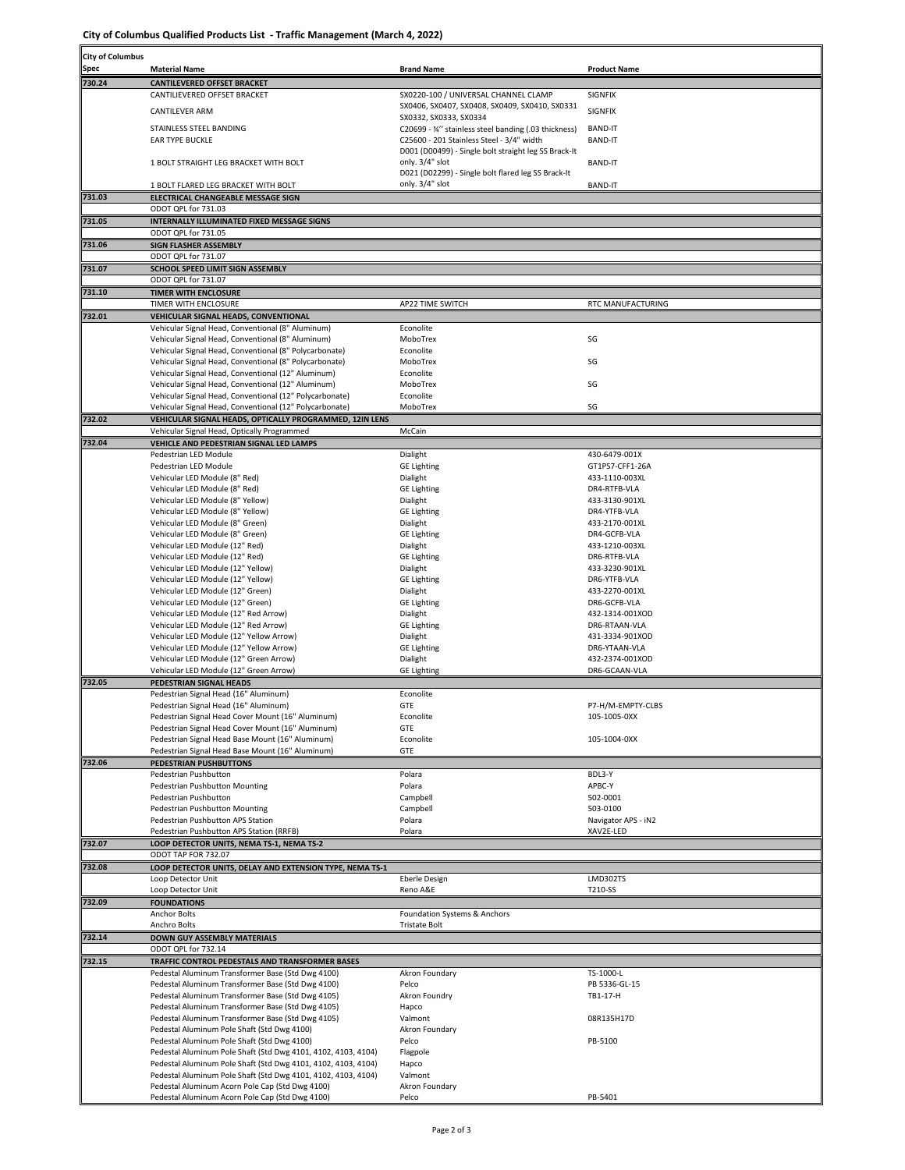**City of Columbus Qualified Products List - Traffic Management (March 4, 2022)**

| <b>City of Columbus</b> |                                                                                                               |                                                                                                   |                                   |
|-------------------------|---------------------------------------------------------------------------------------------------------------|---------------------------------------------------------------------------------------------------|-----------------------------------|
| Spec                    | <b>Material Name</b>                                                                                          | <b>Brand Name</b>                                                                                 | <b>Product Name</b>               |
| 730.24                  | <b>CANTILEVERED OFFSET BRACKET</b>                                                                            |                                                                                                   |                                   |
|                         | CANTILIEVERED OFFSET BRACKET                                                                                  | SX0220-100 / UNIVERSAL CHANNEL CLAMP<br>SX0406, SX0407, SX0408, SX0409, SX0410, SX0331            | SIGNFIX                           |
|                         | <b>CANTILEVER ARM</b>                                                                                         | SX0332, SX0333, SX0334                                                                            | SIGNFIX                           |
|                         | STAINLESS STEEL BANDING                                                                                       | C20699 - 34" stainless steel banding (.03 thickness)                                              | <b>BAND-IT</b>                    |
|                         | <b>EAR TYPE BUCKLE</b>                                                                                        | C25600 - 201 Stainless Steel - 3/4" width<br>D001 (D00499) - Single bolt straight leg SS Brack-It | <b>BAND-IT</b>                    |
|                         | 1 BOLT STRAIGHT LEG BRACKET WITH BOLT                                                                         | only. 3/4" slot                                                                                   | <b>BAND-IT</b>                    |
|                         |                                                                                                               | D021 (D02299) - Single bolt flared leg SS Brack-It                                                |                                   |
| 731.03                  | 1 BOLT FLARED LEG BRACKET WITH BOLT<br>ELECTRICAL CHANGEABLE MESSAGE SIGN                                     | only. 3/4" slot                                                                                   | <b>BAND-IT</b>                    |
|                         | ODOT QPL for 731.03                                                                                           |                                                                                                   |                                   |
| 731.05                  | INTERNALLY ILLUMINATED FIXED MESSAGE SIGNS                                                                    |                                                                                                   |                                   |
|                         | ODOT QPL for 731.05                                                                                           |                                                                                                   |                                   |
| 731.06                  | SIGN FLASHER ASSEMBLY<br>ODOT QPL for 731.07                                                                  |                                                                                                   |                                   |
| 731.07                  | SCHOOL SPEED LIMIT SIGN ASSEMBLY                                                                              |                                                                                                   |                                   |
|                         | ODOT QPL for 731.07                                                                                           |                                                                                                   |                                   |
| 731.10                  | <b>TIMER WITH ENCLOSURE</b><br>TIMER WITH ENCLOSURE                                                           | AP22 TIME SWITCH                                                                                  | RTC MANUFACTURING                 |
| 732.01                  | VEHICULAR SIGNAL HEADS, CONVENTIONAL                                                                          |                                                                                                   |                                   |
|                         | Vehicular Signal Head, Conventional (8" Aluminum)                                                             | Econolite                                                                                         |                                   |
|                         | Vehicular Signal Head, Conventional (8" Aluminum)<br>Vehicular Signal Head, Conventional (8" Polycarbonate)   | MoboTrex<br>Econolite                                                                             | SG                                |
|                         | Vehicular Signal Head, Conventional (8" Polycarbonate)                                                        | MoboTrex                                                                                          | SG                                |
|                         | Vehicular Signal Head, Conventional (12" Aluminum)                                                            | Econolite                                                                                         |                                   |
|                         | Vehicular Signal Head, Conventional (12" Aluminum)<br>Vehicular Signal Head, Conventional (12" Polycarbonate) | MoboTrex<br>Econolite                                                                             | SG                                |
|                         | Vehicular Signal Head, Conventional (12" Polycarbonate)                                                       | MoboTrex                                                                                          | SG                                |
| 732.02                  | VEHICULAR SIGNAL HEADS, OPTICALLY PROGRAMMED, 12IN LENS                                                       |                                                                                                   |                                   |
| 732.04                  | Vehicular Signal Head, Optically Programmed<br>VEHICLE AND PEDESTRIAN SIGNAL LED LAMPS                        | McCain                                                                                            |                                   |
|                         | Pedestrian LED Module                                                                                         | Dialight                                                                                          | 430-6479-001X                     |
|                         | Pedestrian LED Module                                                                                         | <b>GE Lighting</b>                                                                                | GT1PS7-CFF1-26A                   |
|                         | Vehicular LED Module (8" Red)<br>Vehicular LED Module (8" Red)                                                | Dialight<br><b>GE Lighting</b>                                                                    | 433-1110-003XL<br>DR4-RTFB-VLA    |
|                         | Vehicular LED Module (8" Yellow)                                                                              | Dialight                                                                                          | 433-3130-901XL                    |
|                         | Vehicular LED Module (8" Yellow)                                                                              | <b>GE Lighting</b>                                                                                | DR4-YTFB-VLA                      |
|                         | Vehicular LED Module (8" Green)                                                                               | Dialight                                                                                          | 433-2170-001XL<br>DR4-GCFB-VLA    |
|                         | Vehicular LED Module (8" Green)<br>Vehicular LED Module (12" Red)                                             | <b>GE Lighting</b><br>Dialight                                                                    | 433-1210-003XL                    |
|                         | Vehicular LED Module (12" Red)                                                                                | <b>GE Lighting</b>                                                                                | DR6-RTFB-VLA                      |
|                         | Vehicular LED Module (12" Yellow)                                                                             | Dialight                                                                                          | 433-3230-901XL                    |
|                         | Vehicular LED Module (12" Yellow)<br>Vehicular LED Module (12" Green)                                         | <b>GE Lighting</b><br>Dialight                                                                    | DR6-YTFB-VLA<br>433-2270-001XL    |
|                         | Vehicular LED Module (12" Green)                                                                              | <b>GE Lighting</b>                                                                                | DR6-GCFB-VLA                      |
|                         | Vehicular LED Module (12" Red Arrow)<br>Vehicular LED Module (12" Red Arrow)                                  | Dialight<br><b>GE Lighting</b>                                                                    | 432-1314-001XOD<br>DR6-RTAAN-VLA  |
|                         | Vehicular LED Module (12" Yellow Arrow)                                                                       | Dialight                                                                                          | 431-3334-901XOD                   |
|                         | Vehicular LED Module (12" Yellow Arrow)                                                                       | <b>GE Lighting</b>                                                                                | DR6-YTAAN-VLA                     |
|                         | Vehicular LED Module (12" Green Arrow)<br>Vehicular LED Module (12" Green Arrow)                              | Dialight<br><b>GE Lighting</b>                                                                    | 432-2374-001XOD<br>DR6-GCAAN-VLA  |
| 732.05                  | PEDESTRIAN SIGNAL HEADS                                                                                       |                                                                                                   |                                   |
|                         | Pedestrian Signal Head (16" Aluminum)                                                                         | Econolite                                                                                         |                                   |
|                         | Pedestrian Signal Head (16" Aluminum)<br>Pedestrian Signal Head Cover Mount (16" Aluminum)                    | GTE<br>Econolite                                                                                  | P7-H/M-EMPTY-CLBS<br>105-1005-0XX |
|                         | Pedestrian Signal Head Cover Mount (16" Aluminum)                                                             | GTE                                                                                               |                                   |
|                         | Pedestrian Signal Head Base Mount (16" Aluminum)                                                              | Econolite                                                                                         | 105-1004-0XX                      |
| 732.06                  | Pedestrian Signal Head Base Mount (16" Aluminum)<br>PEDESTRIAN PUSHBUTTONS                                    | GTE                                                                                               |                                   |
|                         | Pedestrian Pushbutton                                                                                         | Polara                                                                                            | BDL3-Y                            |
|                         | Pedestrian Pushbutton Mounting                                                                                | Polara                                                                                            | APBC-Y                            |
|                         | Pedestrian Pushbutton<br>Pedestrian Pushbutton Mounting                                                       | Campbell<br>Campbell                                                                              | 502-0001<br>503-0100              |
|                         | Pedestrian Pushbutton APS Station                                                                             | Polara                                                                                            | Navigator APS - iN2               |
|                         | Pedestrian Pushbutton APS Station (RRFB)                                                                      | Polara                                                                                            | XAV2E-LED                         |
| 732.07                  | LOOP DETECTOR UNITS, NEMA TS-1, NEMA TS-2<br>ODOT TAP FOR 732.07                                              |                                                                                                   |                                   |
| 732.08                  | LOOP DETECTOR UNITS, DELAY AND EXTENSION TYPE, NEMA TS-1                                                      |                                                                                                   |                                   |
|                         | Loop Detector Unit                                                                                            | <b>Eberle Design</b>                                                                              | LMD302TS                          |
|                         | Loop Detector Unit                                                                                            | Reno A&E                                                                                          | T210-SS                           |
| 732.09                  | <b>FOUNDATIONS</b><br>Anchor Bolts                                                                            | Foundation Systems & Anchors                                                                      |                                   |
|                         | Anchro Bolts                                                                                                  | <b>Tristate Bolt</b>                                                                              |                                   |
| 732.14                  | <b>DOWN GUY ASSEMBLY MATERIALS</b>                                                                            |                                                                                                   |                                   |
| 732.15                  | ODOT QPL for 732.14<br>TRAFFIC CONTROL PEDESTALS AND TRANSFORMER BASES                                        |                                                                                                   |                                   |
|                         | Pedestal Aluminum Transformer Base (Std Dwg 4100)                                                             | Akron Foundary                                                                                    | TS-1000-L                         |
|                         | Pedestal Aluminum Transformer Base (Std Dwg 4100)                                                             | Pelco                                                                                             | PB 5336-GL-15                     |
|                         | Pedestal Aluminum Transformer Base (Std Dwg 4105)<br>Pedestal Aluminum Transformer Base (Std Dwg 4105)        | Akron Foundry<br>Hapco                                                                            | TB1-17-H                          |
|                         | Pedestal Aluminum Transformer Base (Std Dwg 4105)                                                             | Valmont                                                                                           | 08R135H17D                        |
|                         | Pedestal Aluminum Pole Shaft (Std Dwg 4100)                                                                   | Akron Foundary                                                                                    |                                   |
|                         | Pedestal Aluminum Pole Shaft (Std Dwg 4100)<br>Pedestal Aluminum Pole Shaft (Std Dwg 4101, 4102, 4103, 4104)  | Pelco<br>Flagpole                                                                                 | PB-5100                           |
|                         | Pedestal Aluminum Pole Shaft (Std Dwg 4101, 4102, 4103, 4104)                                                 | Hapco                                                                                             |                                   |
|                         | Pedestal Aluminum Pole Shaft (Std Dwg 4101, 4102, 4103, 4104)                                                 | Valmont                                                                                           |                                   |
|                         | Pedestal Aluminum Acorn Pole Cap (Std Dwg 4100)<br>Pedestal Aluminum Acorn Pole Cap (Std Dwg 4100)            | Akron Foundary<br>Pelco                                                                           | PB-5401                           |